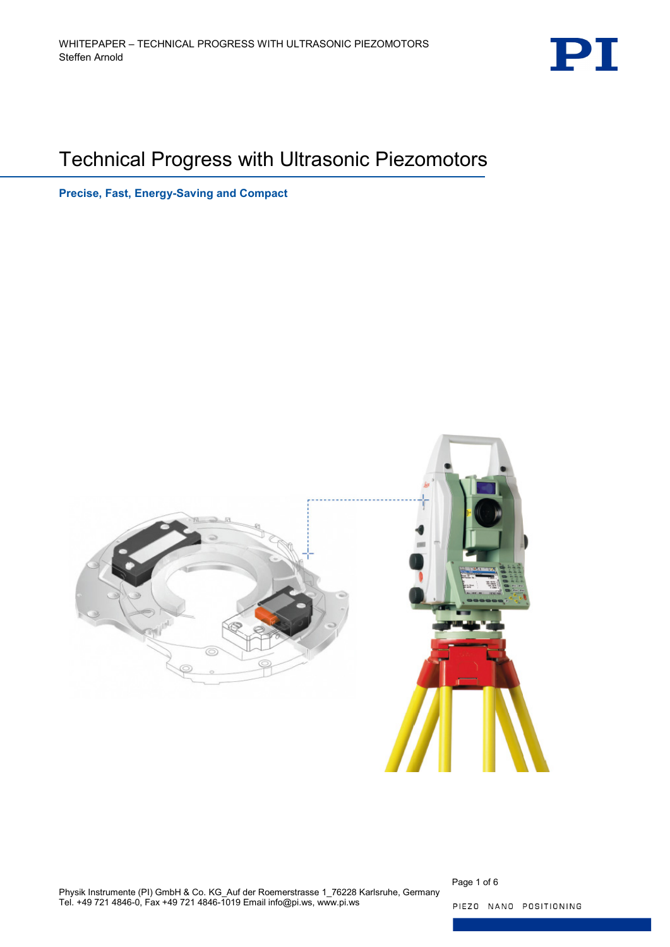

# Technical Progress with Ultrasonic Piezomotors

**Precise, Fast, Energy-Saving and Compact**



Page 1 of 6

PIEZO NANO POSITIONING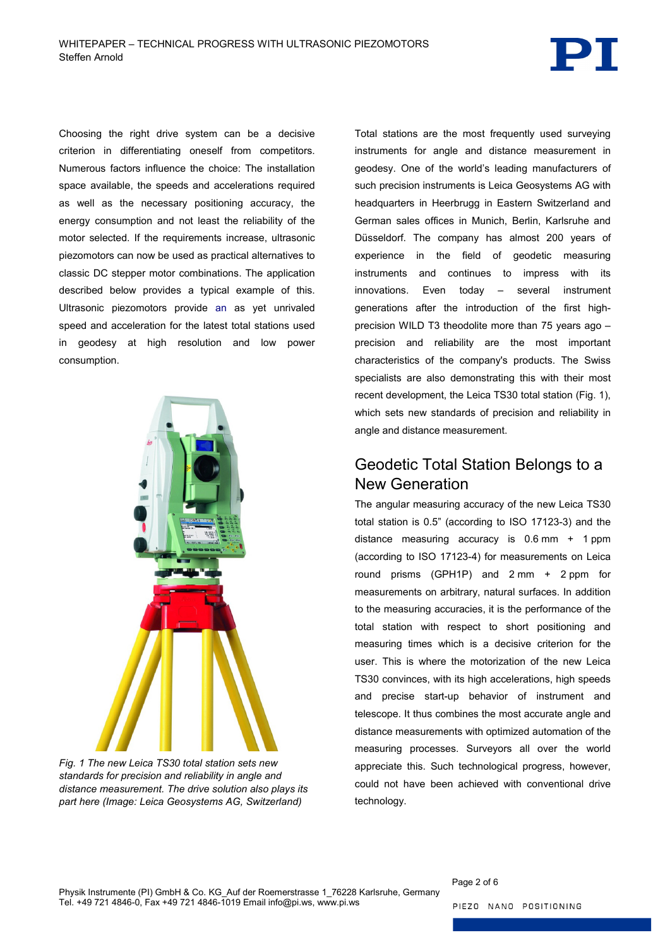

Choosing the right drive system can be a decisive criterion in differentiating oneself from competitors. Numerous factors influence the choice: The installation space available, the speeds and accelerations required as well as the necessary positioning accuracy, the energy consumption and not least the reliability of the motor selected. If the requirements increase, ultrasonic piezomotors can now be used as practical alternatives to classic DC stepper motor combinations. The application described below provides a typical example of this. Ultrasonic piezomotors provide an as yet unrivaled speed and acceleration for the latest total stations used in geodesy at high resolution and low power consumption.



<span id="page-1-0"></span>*Fig. 1 The new Leica TS30 total station sets new standards for precision and reliability in angle and distance measurement. The drive solution also plays its part here (Image: Leica Geosystems AG, Switzerland)*

Total stations are the most frequently used surveying instruments for angle and distance measurement in geodesy. One of the world's leading manufacturers of such precision instruments is Leica Geosystems AG with headquarters in Heerbrugg in Eastern Switzerland and German sales offices in Munich, Berlin, Karlsruhe and Düsseldorf. The company has almost 200 years of experience in the field of geodetic measuring instruments and continues to impress with its innovations. Even today – several instrument generations after the introduction of the first highprecision WILD T3 theodolite more than 75 years ago – precision and reliability are the most important characteristics of the company's products. The Swiss specialists are also demonstrating this with their most recent development, the Leica TS30 total station [\(Fig. 1\)](#page-1-0), which sets new standards of precision and reliability in angle and distance measurement.

## Geodetic Total Station Belongs to a New Generation

The angular measuring accuracy of the new Leica TS30 total station is 0.5" (according to ISO 17123-3) and the distance measuring accuracy is 0.6 mm + 1 ppm (according to ISO 17123-4) for measurements on Leica round prisms (GPH1P) and 2 mm + 2 ppm for measurements on arbitrary, natural surfaces. In addition to the measuring accuracies, it is the performance of the total station with respect to short positioning and measuring times which is a decisive criterion for the user. This is where the motorization of the new Leica TS30 convinces, with its high accelerations, high speeds and precise start-up behavior of instrument and telescope. It thus combines the most accurate angle and distance measurements with optimized automation of the measuring processes. Surveyors all over the world appreciate this. Such technological progress, however, could not have been achieved with conventional drive technology.

Page 2 of 6

PIEZO NANO POSITIONING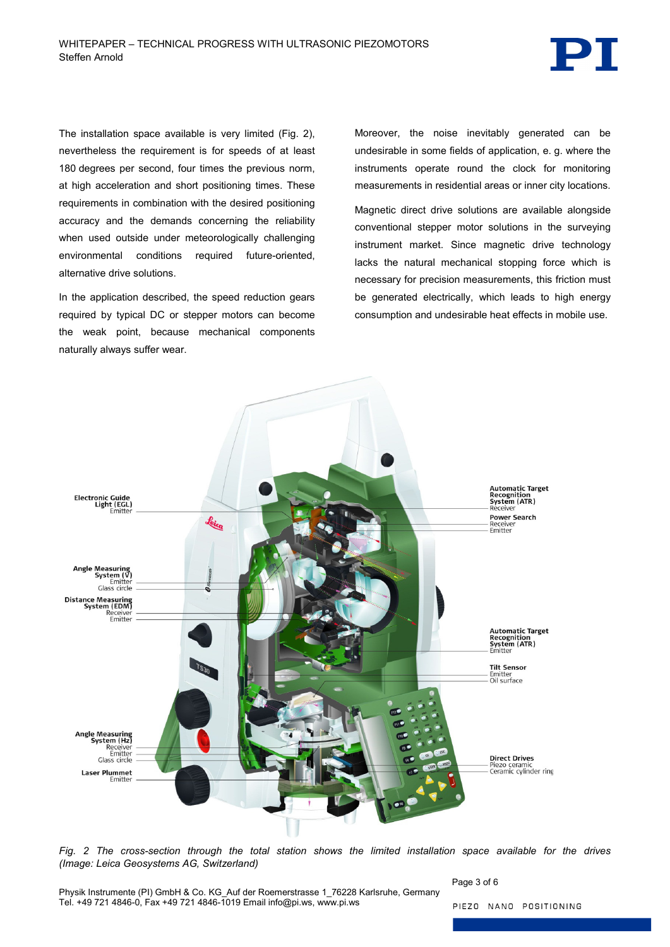

The installation space available is very limited [\(Fig. 2\)](#page-2-0), nevertheless the requirement is for speeds of at least 180 degrees per second, four times the previous norm, at high acceleration and short positioning times. These requirements in combination with the desired positioning accuracy and the demands concerning the reliability when used outside under meteorologically challenging environmental conditions required future-oriented, alternative drive solutions.

In the application described, the speed reduction gears required by typical DC or stepper motors can become the weak point, because mechanical components naturally always suffer wear.

Moreover, the noise inevitably generated can be undesirable in some fields of application, e. g. where the instruments operate round the clock for monitoring measurements in residential areas or inner city locations.

Magnetic direct drive solutions are available alongside conventional stepper motor solutions in the surveying instrument market. Since magnetic drive technology lacks the natural mechanical stopping force which is necessary for precision measurements, this friction must be generated electrically, which leads to high energy consumption and undesirable heat effects in mobile use.



<span id="page-2-0"></span>*Fig. 2 The cross-section through the total station shows the limited installation space available for the drives (Image: Leica Geosystems AG, Switzerland)*

Page 3 of 6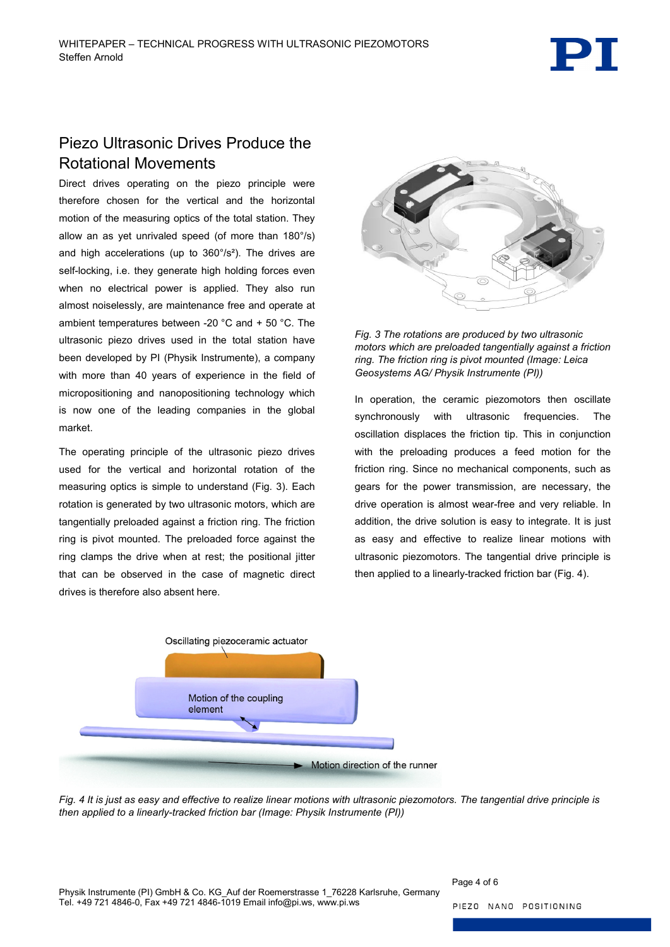# Piezo Ultrasonic Drives Produce the Rotational Movements

Direct drives operating on the piezo principle were therefore chosen for the vertical and the horizontal motion of the measuring optics of the total station. They allow an as yet unrivaled speed (of more than 180°/s) and high accelerations (up to 360°/s²). The drives are self-locking, i.e. they generate high holding forces even when no electrical power is applied. They also run almost noiselessly, are maintenance free and operate at ambient temperatures between -20 °C and + 50 °C. The ultrasonic piezo drives used in the total station have been developed by PI (Physik Instrumente), a company with more than 40 years of experience in the field of micropositioning and nanopositioning technology which is now one of the leading companies in the global market.

The operating principle of the ultrasonic piezo drives used for the vertical and horizontal rotation of the measuring optics is simple to understand [\(Fig. 3\)](#page-3-0). Each rotation is generated by two ultrasonic motors, which are tangentially preloaded against a friction ring. The friction ring is pivot mounted. The preloaded force against the ring clamps the drive when at rest; the positional jitter that can be observed in the case of magnetic direct drives is therefore also absent here.



<span id="page-3-0"></span>*Fig. 3 The rotations are produced by two ultrasonic motors which are preloaded tangentially against a friction ring. The friction ring is pivot mounted (Image: Leica Geosystems AG/ Physik Instrumente (PI))*

In operation, the ceramic piezomotors then oscillate synchronously with ultrasonic frequencies. The oscillation displaces the friction tip. This in conjunction with the preloading produces a feed motion for the friction ring. Since no mechanical components, such as gears for the power transmission, are necessary, the drive operation is almost wear-free and very reliable. In addition, the drive solution is easy to integrate. It is just as easy and effective to realize linear motions with ultrasonic piezomotors. The tangential drive principle is then applied to a linearly-tracked friction bar [\(Fig. 4\)](#page-3-1).



<span id="page-3-1"></span>*Fig. 4 It is just as easy and effective to realize linear motions with ultrasonic piezomotors. The tangential drive principle is then applied to a linearly-tracked friction bar (Image: Physik Instrumente (PI))*

Page 4 of 6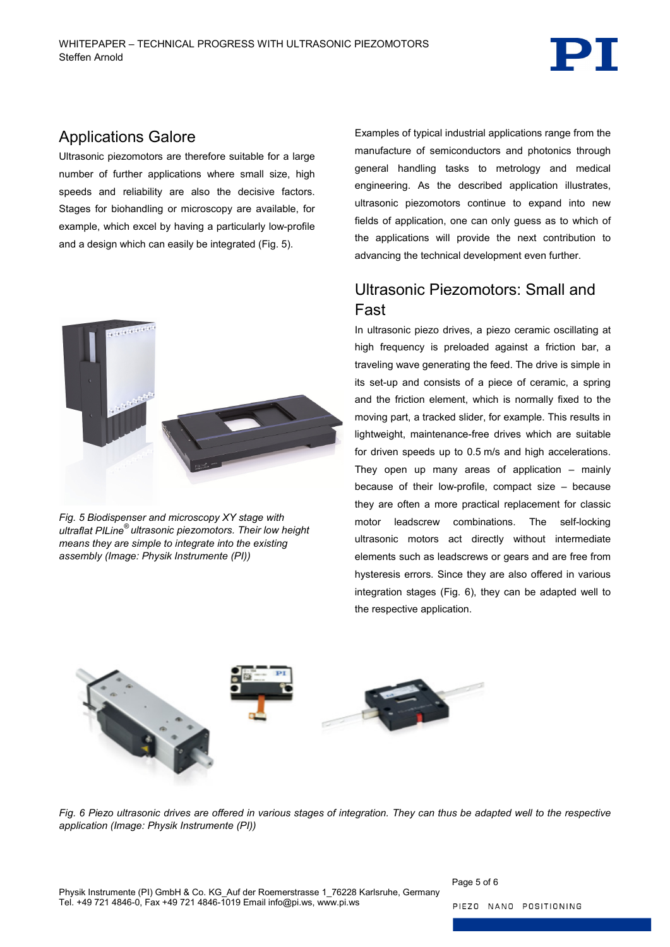

#### Applications Galore

Ultrasonic piezomotors are therefore suitable for a large number of further applications where small size, high speeds and reliability are also the decisive factors. Stages for biohandling or microscopy are available, for example, which excel by having a particularly low-profile and a design which can easily be integrated [\(Fig. 5\)](#page-4-0).



*Fig. 5 Biodispenser and microscopy XY stage with ultraflat PILine® ultrasonic piezomotors. Their low height means they are simple to integrate into the existing assembly (Image: Physik Instrumente (PI))*

Examples of typical industrial applications range from the manufacture of semiconductors and photonics through general handling tasks to metrology and medical engineering. As the described application illustrates, ultrasonic piezomotors continue to expand into new fields of application, one can only guess as to which of the applications will provide the next contribution to advancing the technical development even further.

# Ultrasonic Piezomotors: Small and Fast

In ultrasonic piezo drives, a piezo ceramic oscillating at high frequency is preloaded against a friction bar, a traveling wave generating the feed. The drive is simple in its set-up and consists of a piece of ceramic, a spring and the friction element, which is normally fixed to the moving part, a tracked slider, for example. This results in lightweight, maintenance-free drives which are suitable for driven speeds up to 0.5 m/s and high accelerations. They open up many areas of application – mainly because of their low-profile, compact size – because they are often a more practical replacement for classic motor leadscrew combinations. The self-locking ultrasonic motors act directly without intermediate elements such as leadscrews or gears and are free from hysteresis errors. Since they are also offered in various integration stages [\(Fig. 6\)](#page-4-1), they can be adapted well to the respective application.

<span id="page-4-1"></span><span id="page-4-0"></span>

*Fig. 6 Piezo ultrasonic drives are offered in various stages of integration. They can thus be adapted well to the respective application (Image: Physik Instrumente (PI))*

Page 5 of 6

PIEZO NANO POSITIONING